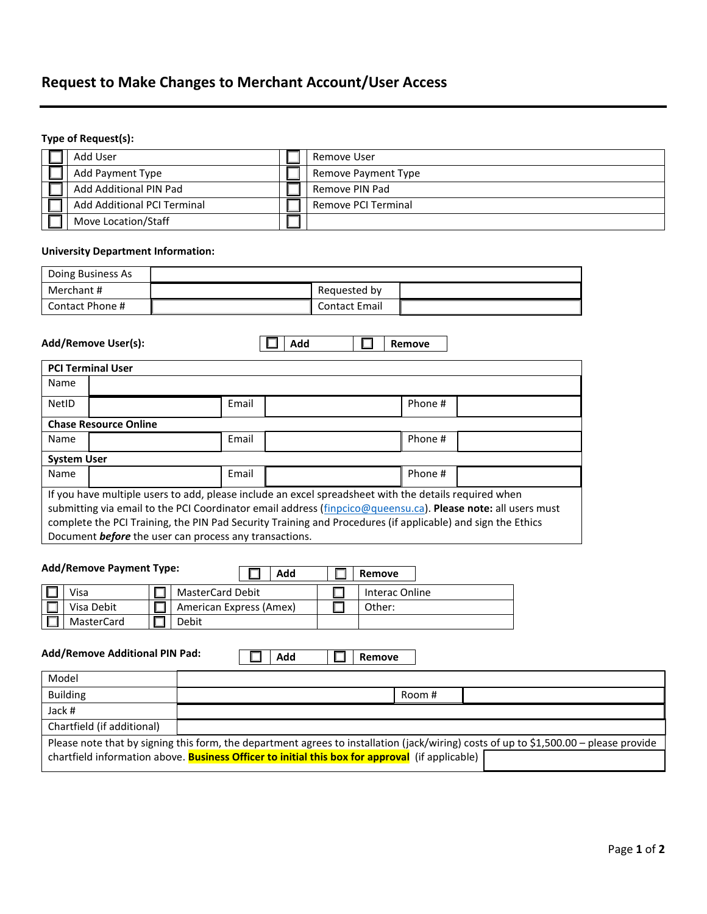# **Request to Make Changes to Merchant Account/User Access**

## **Type of Request(s):**

| Add User                           | Remove User         |
|------------------------------------|---------------------|
| Add Payment Type                   | Remove Payment Type |
| Add Additional PIN Pad             | Remove PIN Pad      |
| <b>Add Additional PCI Terminal</b> | Remove PCI Terminal |
| Move Location/Staff                |                     |

#### **University Department Information:**

|                                                                                                                                                                                                                                                                                                                                                                                                | Doing Business As            |       |     |                      |         |  |
|------------------------------------------------------------------------------------------------------------------------------------------------------------------------------------------------------------------------------------------------------------------------------------------------------------------------------------------------------------------------------------------------|------------------------------|-------|-----|----------------------|---------|--|
| Merchant#                                                                                                                                                                                                                                                                                                                                                                                      |                              |       |     | Requested by         |         |  |
| Contact Phone #                                                                                                                                                                                                                                                                                                                                                                                |                              |       |     | <b>Contact Email</b> |         |  |
|                                                                                                                                                                                                                                                                                                                                                                                                | Add/Remove User(s):          |       | Add |                      | Remove  |  |
|                                                                                                                                                                                                                                                                                                                                                                                                | <b>PCI Terminal User</b>     |       |     |                      |         |  |
| Name                                                                                                                                                                                                                                                                                                                                                                                           |                              |       |     |                      |         |  |
| NetID                                                                                                                                                                                                                                                                                                                                                                                          |                              | Email |     |                      | Phone # |  |
|                                                                                                                                                                                                                                                                                                                                                                                                | <b>Chase Resource Online</b> |       |     |                      |         |  |
| Name                                                                                                                                                                                                                                                                                                                                                                                           |                              | Email |     |                      | Phone # |  |
| <b>System User</b>                                                                                                                                                                                                                                                                                                                                                                             |                              |       |     |                      |         |  |
| Name                                                                                                                                                                                                                                                                                                                                                                                           |                              | Email |     |                      | Phone # |  |
| If you have multiple users to add, please include an excel spreadsheet with the details required when<br>submitting via email to the PCI Coordinator email address (finpcico@queensu.ca). Please note: all users must<br>complete the PCI Training, the PIN Pad Security Training and Procedures (if applicable) and sign the Ethics<br>Document before the user can process any transactions. |                              |       |     |                      |         |  |

| <b>Add/Remove Payment Type:</b> | Add                     | Remove         |
|---------------------------------|-------------------------|----------------|
| Visa                            | <b>MasterCard Debit</b> | Interac Online |
| Visa Debit                      | American Express (Amex) | Other:         |
| MasterCard                      | Debit                   |                |

 $\Box$ 

**Add/Remove Additional PIN Pad:**

**Add Remove**

| Model                                                                                                                                 |                                                                                                        |        |  |
|---------------------------------------------------------------------------------------------------------------------------------------|--------------------------------------------------------------------------------------------------------|--------|--|
| <b>Building</b>                                                                                                                       |                                                                                                        | Room # |  |
| Jack #                                                                                                                                |                                                                                                        |        |  |
| Chartfield (if additional)                                                                                                            |                                                                                                        |        |  |
| Please note that by signing this form, the department agrees to installation (jack/wiring) costs of up to \$1,500.00 - please provide |                                                                                                        |        |  |
|                                                                                                                                       | chartfield information above. <b>Business Officer to initial this box for approval</b> (if applicable) |        |  |